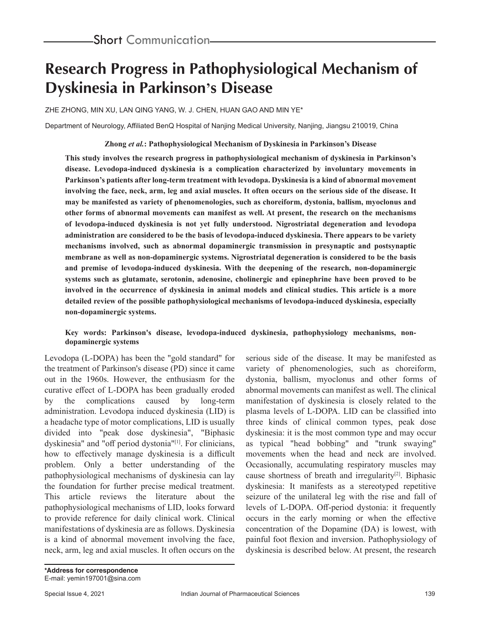# **Research Progress in Pathophysiological Mechanism of Dyskinesia in Parkinson's Disease**

ZHE ZHONG, MIN XU, LAN QING YANG, W. J. CHEN, HUAN GAO AND MIN YE\*

Department of Neurology, Affiliated BenQ Hospital of Nanjing Medical University, Nanjing, Jiangsu 210019, China

### **Zhong** *et al.***: Pathophysiological Mechanism of Dyskinesia in Parkinson's Disease**

**This study involves the research progress in pathophysiological mechanism of dyskinesia in Parkinson's disease. Levodopa-induced dyskinesia is a complication characterized by involuntary movements in Parkinson's patients after long-term treatment with levodopa. Dyskinesia is a kind of abnormal movement involving the face, neck, arm, leg and axial muscles. It often occurs on the serious side of the disease. It may be manifested as variety of phenomenologies, such as choreiform, dystonia, ballism, myoclonus and other forms of abnormal movements can manifest as well. At present, the research on the mechanisms of levodopa-induced dyskinesia is not yet fully understood. Nigrostriatal degeneration and levodopa administration are considered to be the basis of levodopa-induced dyskinesia. There appears to be variety mechanisms involved, such as abnormal dopaminergic transmission in presynaptic and postsynaptic membrane as well as non-dopaminergic systems. Nigrostriatal degeneration is considered to be the basis and premise of levodopa-induced dyskinesia. With the deepening of the research, non-dopaminergic systems such as glutamate, serotonin, adenosine, cholinergic and epinephrine have been proved to be involved in the occurrence of dyskinesia in animal models and clinical studies. This article is a more detailed review of the possible pathophysiological mechanisms of levodopa-induced dyskinesia, especially non-dopaminergic systems.**

#### **Key words: Parkinson's disease, levodopa-induced dyskinesia, pathophysiology mechanisms, nondopaminergic systems**

Levodopa (L-DOPA) has been the "gold standard" for the treatment of Parkinson's disease (PD) since it came out in the 1960s. However, the enthusiasm for the curative effect of L-DOPA has been gradually eroded by the complications caused by long-term administration. Levodopa induced dyskinesia (LID) is a headache type of motor complications, LID is usually divided into "peak dose dyskinesia", "Biphasic dyskinesia" and "off period dystonia"<sup>[1]</sup>. For clinicians, how to effectively manage dyskinesia is a difficult problem. Only a better understanding of the pathophysiological mechanisms of dyskinesia can lay the foundation for further precise medical treatment. This article reviews the literature about the pathophysiological mechanisms of LID, looks forward to provide reference for daily clinical work. Clinical manifestations of dyskinesia are as follows. Dyskinesia is a kind of abnormal movement involving the face, neck, arm, leg and axial muscles. It often occurs on the serious side of the disease. It may be manifested as variety of phenomenologies, such as choreiform, dystonia, ballism, myoclonus and other forms of abnormal movements can manifest as well. The clinical manifestation of dyskinesia is closely related to the plasma levels of L-DOPA. LID can be classified into three kinds of clinical common types, peak dose dyskinesia: it is the most common type and may occur as typical "head bobbing" and "trunk swaying" movements when the head and neck are involved. Occasionally, accumulating respiratory muscles may cause shortness of breath and irregularity $[2]$ . Biphasic dyskinesia: It manifests as a stereotyped repetitive seizure of the unilateral leg with the rise and fall of levels of L-DOPA. Off-period dystonia: it frequently occurs in the early morning or when the effective concentration of the Dopamine (DA) is lowest, with painful foot flexion and inversion. Pathophysiology of dyskinesia is described below. At present, the research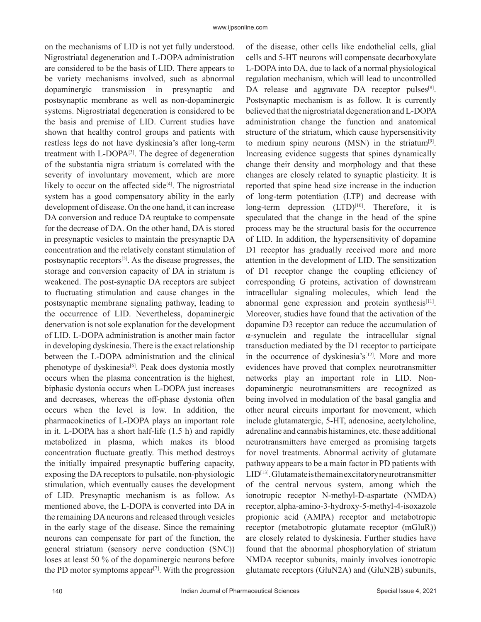on the mechanisms of LID is not yet fully understood. Nigrostriatal degeneration and L-DOPA administration are considered to be the basis of LID. There appears to be variety mechanisms involved, such as abnormal dopaminergic transmission in presynaptic and postsynaptic membrane as well as non-dopaminergic systems. Nigrostriatal degeneration is considered to be the basis and premise of LID. Current studies have shown that healthy control groups and patients with restless legs do not have dyskinesia's after long-term treatment with L-DOPA[3]. The degree of degeneration of the substantia nigra striatum is correlated with the severity of involuntary movement, which are more likely to occur on the affected side $[4]$ . The nigrostriatal system has a good compensatory ability in the early development of disease. On the one hand, it can increase DA conversion and reduce DA reuptake to compensate for the decrease of DA. On the other hand, DA is stored in presynaptic vesicles to maintain the presynaptic DA concentration and the relatively constant stimulation of postsynaptic receptors[5]. As the disease progresses, the storage and conversion capacity of DA in striatum is weakened. The post-synaptic DA receptors are subject to fluctuating stimulation and cause changes in the postsynaptic membrane signaling pathway, leading to the occurrence of LID. Nevertheless, dopaminergic denervation is not sole explanation for the development of LID. L-DOPA administration is another main factor in developing dyskinesia. There is the exact relationship between the L-DOPA administration and the clinical phenotype of dyskinesia<sup>[6]</sup>. Peak does dystonia mostly occurs when the plasma concentration is the highest, biphasic dystonia occurs when L-DOPA just increases and decreases, whereas the off-phase dystonia often occurs when the level is low. In addition, the pharmacokinetics of L-DOPA plays an important role in it. L-DOPA has a short half-life (1.5 h) and rapidly metabolized in plasma, which makes its blood concentration fluctuate greatly. This method destroys the initially impaired presynaptic buffering capacity, exposing the DA receptors to pulsatile, non-physiologic stimulation, which eventually causes the development of LID. Presynaptic mechanism is as follow. As mentioned above, the L-DOPA is converted into DA in the remaining DA neurons and released through vesicles in the early stage of the disease. Since the remaining neurons can compensate for part of the function, the general striatum (sensory nerve conduction (SNC)) loses at least 50 % of the dopaminergic neurons before the PD motor symptoms appear<sup>[7]</sup>. With the progression

140 **Indian Journal of Pharmaceutical Sciences** Special Issue 4, 2021 Postsynaptic mechanism is as follow. It is currently believed that the nigrostriatal degeneration and L-DOPA administration change the function and anatomical structure of the striatum, which cause hypersensitivity to medium spiny neurons (MSN) in the striatum $[9]$ . Increasing evidence suggests that spines dynamically change their density and morphology and that these changes are closely related to synaptic plasticity. It is reported that spine head size increase in the induction of long-term potentiation (LTP) and decrease with long-term depression (LTD)<sup>[10]</sup>. Therefore, it is speculated that the change in the head of the spine process may be the structural basis for the occurrence of LID. In addition, the hypersensitivity of dopamine D1 receptor has gradually received more and more attention in the development of LID. The sensitization of D1 receptor change the coupling efficiency of corresponding G proteins, activation of downstream intracellular signaling molecules, which lead the abnormal gene expression and protein synthesis<sup>[11]</sup>. Moreover, studies have found that the activation of the dopamine D3 receptor can reduce the accumulation of α-synuclein and regulate the intracellular signal transduction mediated by the D1 receptor to participate in the occurrence of dyskinesia's $[12]$ . More and more evidences have proved that complex neurotransmitter networks play an important role in LID. Nondopaminergic neurotransmitters are recognized as being involved in modulation of the basal ganglia and other neural circuits important for movement, which include glutamatergic, 5-HT, adenosine, acetylcholine, adrenaline and cannabis histamines, etc. these additional neurotransmitters have emerged as promising targets for novel treatments. Abnormal activity of glutamate pathway appears to be a main factor in PD patients with  $LID<sup>[13]</sup>$ . Glutamate is the main excitatory neurotransmitter of the central nervous system, among which the ionotropic receptor N-methyl-D-aspartate (NMDA) receptor, alpha-amino-3-hydroxy-5-methyl-4-isoxazole propionic acid (AMPA) receptor and metabotropic receptor (metabotropic glutamate receptor (mGluR)) are closely related to dyskinesia. Further studies have found that the abnormal phosphorylation of striatum NMDA receptor subunits, mainly involves ionotropic glutamate receptors (GluN2A) and (GluN2B) subunits,

of the disease, other cells like endothelial cells, glial cells and 5-HT neurons will compensate decarboxylate L-DOPA into DA, due to lack of a normal physiological regulation mechanism, which will lead to uncontrolled DA release and aggravate DA receptor pulses<sup>[8]</sup>.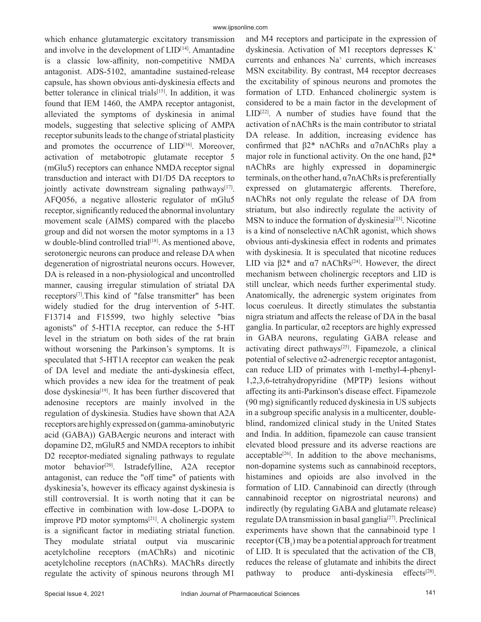which enhance glutamatergic excitatory transmission and involve in the development of  $LID^{[14]}$ . Amantadine is a classic low-affinity, non-competitive NMDA antagonist. ADS-5102, amantadine sustained-release capsule, has shown obvious anti-dyskinesia effects and better tolerance in clinical trials<sup>[15]</sup>. In addition, it was found that IEM 1460, the AMPA receptor antagonist, alleviated the symptoms of dyskinesia in animal models, suggesting that selective splicing of AMPA receptor subunits leads to the change of striatal plasticity and promotes the occurrence of LID<sup>[16]</sup>. Moreover, activation of metabotropic glutamate receptor 5 (mGlu5) receptors can enhance NMDA receptor signal transduction and interact with D1/D5 DA receptors to jointly activate downstream signaling pathways<sup>[17]</sup>. AFQ056, a negative allosteric regulator of mGlu5 receptor, significantly reduced the abnormal involuntary movement scale (AIMS) compared with the placebo group and did not worsen the motor symptoms in a 13 w double-blind controlled trial<sup>[18]</sup>. As mentioned above, serotonergic neurons can produce and release DA when degeneration of nigrostriatal neurons occurs. However, DA is released in a non-physiological and uncontrolled manner, causing irregular stimulation of striatal DA receptors[7].This kind of "false transmitter" has been widely studied for the drug intervention of 5-HT. F13714 and F15599, two highly selective "bias agonists" of 5-HT1A receptor, can reduce the 5-HT level in the striatum on both sides of the rat brain without worsening the Parkinson's symptoms. It is speculated that 5-HT1A receptor can weaken the peak of DA level and mediate the anti-dyskinesia effect, which provides a new idea for the treatment of peak dose dyskinesia<sup>[19]</sup>. It has been further discovered that adenosine receptors are mainly involved in the regulation of dyskinesia. Studies have shown that A2A receptors are highly expressed on (gamma-aminobutyric acid (GABA)) GABAergic neurons and interact with dopamine D2, mGluR5 and NMDA receptors to inhibit D2 receptor-mediated signaling pathways to regulate motor behavior<sup>[20]</sup>. Istradefylline, A2A receptor antagonist, can reduce the "off time" of patients with dyskinesia's, however its efficacy against dyskinesia is still controversial. It is worth noting that it can be effective in combination with low-dose L-DOPA to improve PD motor symptoms $[21]$ . A cholinergic system is a significant factor in mediating striatal function. They modulate striatal output via muscarinic acetylcholine receptors (mAChRs) and nicotinic acetylcholine receptors (nAChRs). MAChRs directly regulate the activity of spinous neurons through M1

and M4 receptors and participate in the expression of dyskinesia. Activation of M1 receptors depresses  $K^+$ currents and enhances Na<sup>+</sup> currents, which increases MSN excitability. By contrast, M4 receptor decreases the excitability of spinous neurons and promotes the formation of LTD. Enhanced cholinergic system is considered to be a main factor in the development of  $LID^{[22]}$ . A number of studies have found that the activation of nAChRs is the main contributor to striatal DA release. In addition, increasing evidence has confirmed that β2\* nAChRs and α7nAChRs play a major role in functional activity. On the one hand, β2\* nAChRs are highly expressed in dopaminergic terminals, on the other hand,  $\alpha$ 7nAChRs is preferentially expressed on glutamatergic afferents. Therefore, nAChRs not only regulate the release of DA from striatum, but also indirectly regulate the activity of MSN to induce the formation of dyskinesia<sup>[23]</sup>. Nicotine is a kind of nonselective nAChR agonist, which shows obvious anti-dyskinesia effect in rodents and primates with dyskinesia. It is speculated that nicotine reduces LID via  $\beta$ 2\* and  $\alpha$ 7 nAChRs<sup>[24]</sup>. However, the direct mechanism between cholinergic receptors and LID is still unclear, which needs further experimental study. Anatomically, the adrenergic system originates from locus coeruleus. It directly stimulates the substantia nigra striatum and affects the release of DA in the basal ganglia. In particular, α2 receptors are highly expressed in GABA neurons, regulating GABA release and activating direct pathways<sup>[25]</sup>. Fipamezole, a clinical potential of selective α2-adrenergic receptor antagonist, can reduce LID of primates with 1-methyl-4-phenyl-1,2,3,6-tetrahydropyridine (MPTP) lesions without affecting its anti-Parkinson's disease effect. Fipamezole (90 mg) significantly reduced dyskinesia in US subjects in a subgroup specific analysis in a multicenter, doubleblind, randomized clinical study in the United States and India. In addition, fipamezole can cause transient elevated blood pressure and its adverse reactions are acceptable<sup>[26]</sup>. In addition to the above mechanisms, non-dopamine systems such as cannabinoid receptors, histamines and opioids are also involved in the formation of LID. Cannabinoid can directly (through cannabinoid receptor on nigrostriatal neurons) and indirectly (by regulating GABA and glutamate release) regulate DA transmission in basal ganglia<sup>[27]</sup>. Preclinical experiments have shown that the cannabinoid type 1 receptor  $(CB<sub>1</sub>)$  may be a potential approach for treatment of LID. It is speculated that the activation of the  $CB<sub>1</sub>$ reduces the release of glutamate and inhibits the direct pathway to produce anti-dyskinesia effects<sup>[28]</sup>.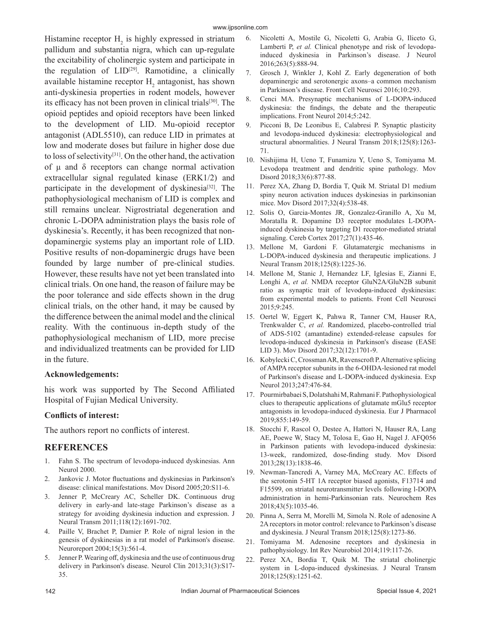Histamine receptor  $H_2$  is highly expressed in striatum pallidum and substantia nigra, which can up-regulate the excitability of cholinergic system and participate in the regulation of  $LID^{[29]}$ . Ramotidine, a clinically available histamine receptor  $H_2$  antagonist, has shown anti-dyskinesia properties in rodent models, however its efficacy has not been proven in clinical trials<sup>[30]</sup>. The opioid peptides and opioid receptors have been linked to the development of LID. Mu-opioid receptor antagonist (ADL5510), can reduce LID in primates at low and moderate doses but failure in higher dose due to loss of selectivity[31]. On the other hand, the activation of μ and δ receptors can change normal activation extracellular signal regulated kinase (ERK1/2) and participate in the development of dyskinesia<sup>[32]</sup>. The pathophysiological mechanism of LID is complex and still remains unclear. Nigrostriatal degeneration and chronic L-DOPA administration plays the basis role of dyskinesia's. Recently, it has been recognized that nondopaminergic systems play an important role of LID. Positive results of non-dopaminergic drugs have been founded by large number of pre-clinical studies. However, these results have not yet been translated into clinical trials. On one hand, the reason of failure may be the poor tolerance and side effects shown in the drug clinical trials, on the other hand, it may be caused by the difference between the animal model and the clinical reality. With the continuous in-depth study of the pathophysiological mechanism of LID, more precise and individualized treatments can be provided for LID in the future.

### **Acknowledgements:**

his work was supported by The Second Affiliated Hospital of Fujian Medical University.

### **Conflicts of interest:**

The authors report no conflicts of interest.

## **REFERENCES**

- 1. Fahn S. The spectrum of levodopa-induced dyskinesias. Ann Neurol 2000.
- 2. Jankovic J. Motor fluctuations and dyskinesias in Parkinson's disease: clinical manifestations. Mov Disord 2005;20:S11-6.
- 3. Jenner P, McCreary AC, Scheller DK. Continuous drug delivery in early-and late-stage Parkinson's disease as a strategy for avoiding dyskinesia induction and expression. J Neural Transm 2011;118(12):1691-702.
- 4. Paille V, Brachet P, Damier P. Role of nigral lesion in the genesis of dyskinesias in a rat model of Parkinson's disease. Neuroreport 2004;15(3):561-4.
- 5. Jenner P. Wearing off, dyskinesia and the use of continuous drug delivery in Parkinson's disease. Neurol Clin 2013;31(3):S17- 35.
- 6. Nicoletti A, Mostile G, Nicoletti G, Arabia G, Iliceto G, Lamberti P, *et al.* Clinical phenotype and risk of levodopainduced dyskinesia in Parkinson's disease. J Neurol 2016;263(5):888-94.
- 7. Grosch J, Winkler J, Kohl Z. Early degeneration of both dopaminergic and serotonergic axons–a common mechanism in Parkinson's disease. Front Cell Neurosci 2016;10:293.
- 8. Cenci MA. Presynaptic mechanisms of L-DOPA-induced dyskinesia: the findings, the debate and the therapeutic implications. Front Neurol 2014;5:242.
- 9. Picconi B, De Leonibus E, Calabresi P. Synaptic plasticity and levodopa-induced dyskinesia: electrophysiological and structural abnormalities. J Neural Transm 2018;125(8):1263- 71.
- 10. Nishijima H, Ueno T, Funamizu Y, Ueno S, Tomiyama M. Levodopa treatment and dendritic spine pathology. Mov Disord 2018;33(6):877-88.
- 11. Perez XA, Zhang D, Bordia T, Quik M. Striatal D1 medium spiny neuron activation induces dyskinesias in parkinsonian mice. Mov Disord 2017;32(4):538-48.
- 12. Solis O, Garcia-Montes JR, Gonzalez-Granillo A, Xu M, Moratalla R. Dopamine D3 receptor modulates L-DOPAinduced dyskinesia by targeting D1 receptor-mediated striatal signaling. Cereb Cortex 2017;27(1):435-46.
- 13. Mellone M, Gardoni F. Glutamatergic mechanisms in L-DOPA-induced dyskinesia and therapeutic implications. J Neural Transm 2018;125(8):1225-36.
- 14. Mellone M, Stanic J, Hernandez LF, Iglesias E, Zianni E, Longhi A, *et al.* NMDA receptor GluN2A/GluN2B subunit ratio as synaptic trait of levodopa-induced dyskinesias: from experimental models to patients. Front Cell Neurosci 2015;9:245.
- 15. Oertel W, Eggert K, Pahwa R, Tanner CM, Hauser RA, Trenkwalder C, *et al.* Randomized, placebo‐controlled trial of ADS‐5102 (amantadine) extended‐release capsules for levodopa‐induced dyskinesia in Parkinson's disease (EASE LID 3). Mov Disord 2017;32(12):1701-9.
- 16. Kobylecki C, Crossman AR, Ravenscroft P. Alternative splicing of AMPA receptor subunits in the 6-OHDA-lesioned rat model of Parkinson's disease and L-DOPA-induced dyskinesia. Exp Neurol 2013;247:476-84.
- 17. Pourmirbabaei S, Dolatshahi M, Rahmani F. Pathophysiological clues to therapeutic applications of glutamate mGlu5 receptor antagonists in levodopa-induced dyskinesia. Eur J Pharmacol 2019;855:149-59.
- 18. Stocchi F, Rascol O, Destee A, Hattori N, Hauser RA, Lang AE, Poewe W, Stacy M, Tolosa E, Gao H, Nagel J. AFQ056 in Parkinson patients with levodopa-induced dyskinesia: 13‐week, randomized, dose‐finding study. Mov Disord 2013;28(13):1838-46.
- 19. Newman-Tancredi A, Varney MA, McCreary AC. Effects of the serotonin 5-HT 1A receptor biased agonists, F13714 and F15599, on striatal neurotransmitter levels following l-DOPA administration in hemi-Parkinsonian rats. Neurochem Res 2018;43(5):1035-46.
- 20. Pinna A, Serra M, Morelli M, Simola N. Role of adenosine A 2A receptors in motor control: relevance to Parkinson's disease and dyskinesia. J Neural Transm 2018;125(8):1273-86.
- 21. Tomiyama M. Adenosine receptors and dyskinesia in pathophysiology. Int Rev Neurobiol 2014;119:117-26.
- 22. Perez XA, Bordia T, Quik M. The striatal cholinergic system in L-dopa-induced dyskinesias. J Neural Transm 2018;125(8):1251-62.